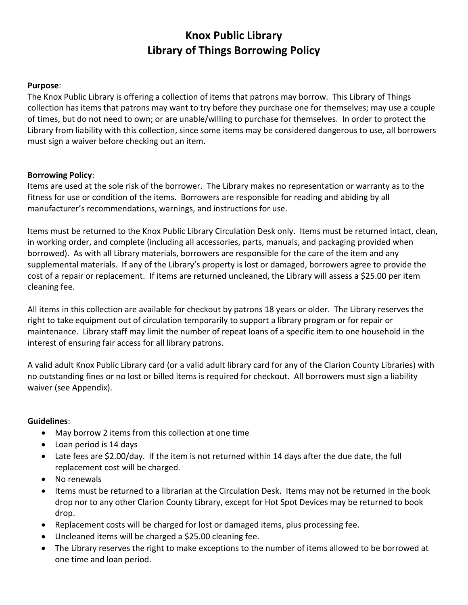## **Knox Public Library Library of Things Borrowing Policy**

#### **Purpose**:

The Knox Public Library is offering a collection of items that patrons may borrow. This Library of Things collection has items that patrons may want to try before they purchase one for themselves; may use a couple of times, but do not need to own; or are unable/willing to purchase for themselves. In order to protect the Library from liability with this collection, since some items may be considered dangerous to use, all borrowers must sign a waiver before checking out an item.

#### **Borrowing Policy**:

Items are used at the sole risk of the borrower. The Library makes no representation or warranty as to the fitness for use or condition of the items. Borrowers are responsible for reading and abiding by all manufacturer's recommendations, warnings, and instructions for use.

Items must be returned to the Knox Public Library Circulation Desk only. Items must be returned intact, clean, in working order, and complete (including all accessories, parts, manuals, and packaging provided when borrowed). As with all Library materials, borrowers are responsible for the care of the item and any supplemental materials. If any of the Library's property is lost or damaged, borrowers agree to provide the cost of a repair or replacement. If items are returned uncleaned, the Library will assess a \$25.00 per item cleaning fee.

All items in this collection are available for checkout by patrons 18 years or older. The Library reserves the right to take equipment out of circulation temporarily to support a library program or for repair or maintenance. Library staff may limit the number of repeat loans of a specific item to one household in the interest of ensuring fair access for all library patrons.

A valid adult Knox Public Library card (or a valid adult library card for any of the Clarion County Libraries) with no outstanding fines or no lost or billed items is required for checkout. All borrowers must sign a liability waiver (see Appendix).

### **Guidelines**:

- May borrow 2 items from this collection at one time
- Loan period is 14 days
- Late fees are \$2.00/day. If the item is not returned within 14 days after the due date, the full replacement cost will be charged.
- No renewals
- Items must be returned to a librarian at the Circulation Desk. Items may not be returned in the book drop nor to any other Clarion County Library, except for Hot Spot Devices may be returned to book drop.
- Replacement costs will be charged for lost or damaged items, plus processing fee.
- Uncleaned items will be charged a \$25.00 cleaning fee.
- The Library reserves the right to make exceptions to the number of items allowed to be borrowed at one time and loan period.